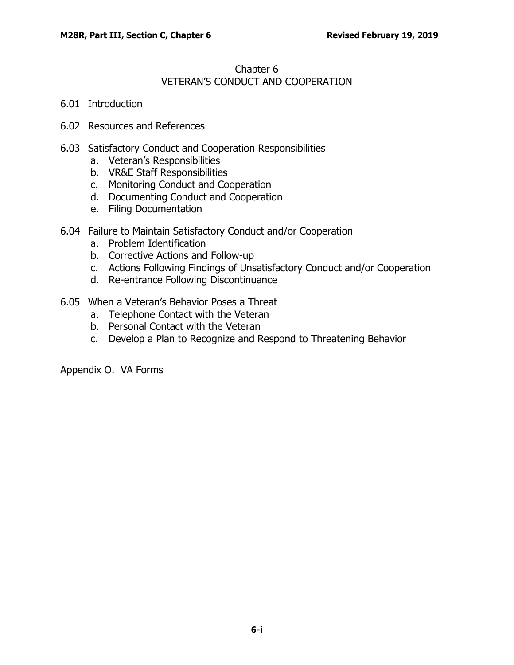## Chapter 6 VETERAN'S CONDUCT AND COOPERATION

- 6.01 [Introduction](#page-1-0)
- 6.02 [Resources and](#page-1-1) References
- 6.03 Satisfactory Conduct and Cooperation [Responsibilities](#page-1-2)
	- a. [Veteran's Responsibilities](#page-1-3)
	- b. VR&E Staff [Responsibilities](#page-2-0)
	- c. Monitoring Conduct and [Cooperation](#page-2-1)
	- d. [Documenting](#page-2-2) Conduct and Cooperation
	- e. Filing [Documentation](#page-3-0)
- 6.04 Failure to Maintain Satisfactory Conduct and/or [Cooperation](#page-3-1)
	- a. Problem [Identification](#page-3-2)
	- b. [Corrective Actions and Follow-up](#page-4-0)
	- c. [Actions Following](#page-4-1) Findings of Unsatisfactory Conduct and/or Cooperation
	- d. [Re-entrance Following Discontinuance](#page-6-0)
- 6.05 [When a Veteran's Behavior Poses a Threat](#page-6-1)
	- a. [Telephone Contact with the Veteran](#page-6-2)
	- b. [Personal Contact with the Veteran](#page-7-0)
	- c. [Develop a Plan to Recognize and Respond to Threatening Behavior](#page-7-1)

Appendix O. VA Forms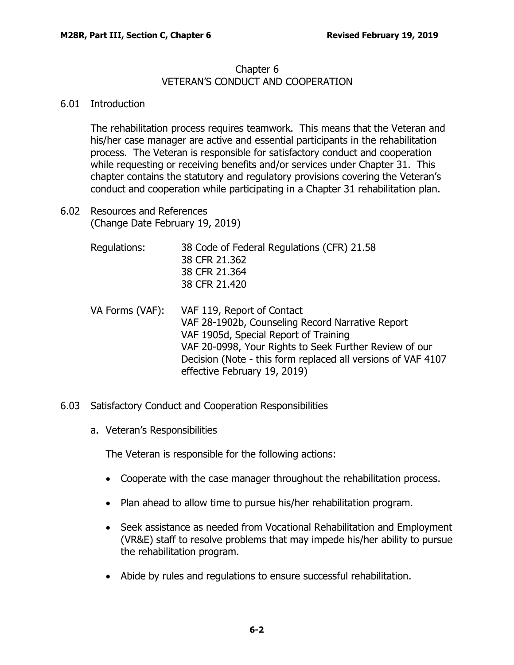## Chapter 6 VETERAN'S CONDUCT AND COOPERATION

## <span id="page-1-0"></span>6.01 Introduction

The rehabilitation process requires teamwork. This means that the Veteran and his/her case manager are active and essential participants in the rehabilitation process. The Veteran is responsible for satisfactory conduct and cooperation while requesting or receiving benefits and/or services under Chapter 31. This chapter contains the statutory and regulatory provisions covering the Veteran's conduct and cooperation while participating in a Chapter 31 rehabilitation plan.

- <span id="page-1-1"></span>6.02 Resources and References (Change Date February 19, 2019)
	- Regulations: 38 Code of Federal Regulations (CFR) 21.58 [38 CFR](http://ecfr.gpoaccess.gov/cgi/t/text/text-idx?c=ecfr&sid=22a98a66a4fc9e12d6ba98dd66ad2445&rgn=div8&view=text&node=38%3A2.0.1.1.6.1.198.127&idno=38) 21.362 38 CFR 21.364 [38 CFR](http://ecfr.gpoaccess.gov/cgi/t/text/text-idx?c=ecfr&sid=22a98a66a4fc9e12d6ba98dd66ad2445&rgn=div8&view=text&node=38%3A2.0.1.1.6.1.204.141&idno=38) 21.420
	- VA Forms (VAF): VAF 119, Report of Contact VAF 28-1902b, Counseling Record Narrative Report VAF 1905d, Special Report of Training VAF 20-0998, Your Rights to Seek Further Review of our Decision (Note - this form replaced all versions of VAF 4107 effective February 19, 2019)
- <span id="page-1-3"></span><span id="page-1-2"></span>6.03 Satisfactory Conduct and Cooperation Responsibilities
	- a. Veteran's Responsibilities

The Veteran is responsible for the following actions:

- Cooperate with the case manager throughout the rehabilitation process.
- Plan ahead to allow time to pursue his/her rehabilitation program.
- Seek assistance as needed from Vocational Rehabilitation and Employment (VR&E) staff to resolve problems that may impede his/her ability to pursue the rehabilitation program.
- Abide by rules and regulations to ensure successful rehabilitation.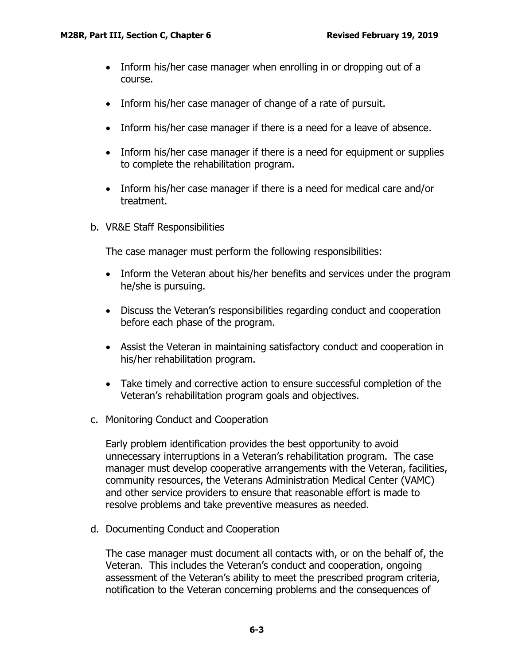- Inform his/her case manager when enrolling in or dropping out of a course.
- Inform his/her case manager of change of a rate of pursuit.
- Inform his/her case manager if there is a need for a leave of absence.
- Inform his/her case manager if there is a need for equipment or supplies to complete the rehabilitation program.
- Inform his/her case manager if there is a need for medical care and/or treatment.
- <span id="page-2-0"></span>b. VR&E Staff Responsibilities

The case manager must perform the following responsibilities:

- Inform the Veteran about his/her benefits and services under the program he/she is pursuing.
- Discuss the Veteran's responsibilities regarding conduct and cooperation before each phase of the program.
- Assist the Veteran in maintaining satisfactory conduct and cooperation in his/her rehabilitation program.
- Take timely and corrective action to ensure successful completion of the Veteran's rehabilitation program goals and objectives.
- <span id="page-2-1"></span>c. Monitoring Conduct and Cooperation

Early problem identification provides the best opportunity to avoid unnecessary interruptions in a Veteran's rehabilitation program. The case manager must develop cooperative arrangements with the Veteran, facilities, community resources, the Veterans Administration Medical Center (VAMC) and other service providers to ensure that reasonable effort is made to resolve problems and take preventive measures as needed.

<span id="page-2-2"></span>d. Documenting Conduct and Cooperation

The case manager must document all contacts with, or on the behalf of, the Veteran. This includes the Veteran's conduct and cooperation, ongoing assessment of the Veteran's ability to meet the prescribed program criteria, notification to the Veteran concerning problems and the consequences of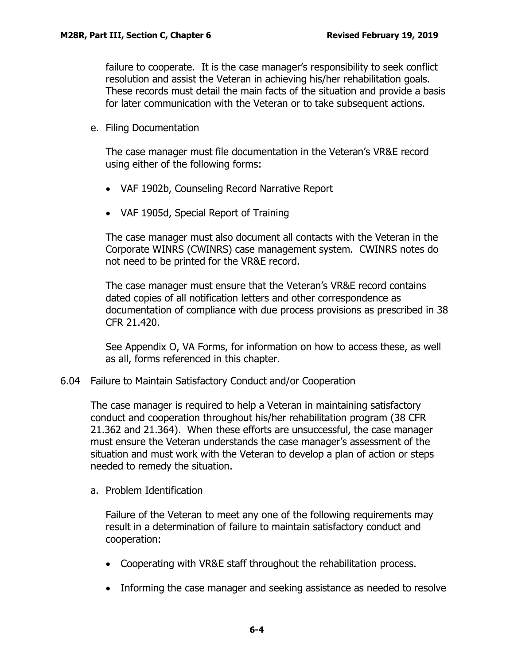failure to cooperate. It is the case manager's responsibility to seek conflict resolution and assist the Veteran in achieving his/her rehabilitation goals. These records must detail the main facts of the situation and provide a basis for later communication with the Veteran or to take subsequent actions.

<span id="page-3-0"></span>e. Filing Documentation

The case manager must file documentation in the Veteran's VR&E record using either of the following forms:

- VAF 1902b, Counseling Record Narrative Report
- VAF 1905d, Special Report of Training

The case manager must also document all contacts with the Veteran in the Corporate WINRS (CWINRS) case management system. CWINRS notes do not need to be printed for the VR&E record.

The case manager must ensure that the Veteran's VR&E record contains dated copies of all notification letters and other correspondence as documentation of compliance with due process provisions as prescribed in 38 CFR 21.420.

See Appendix O, VA Forms, for information on how to access these, as well as all, forms referenced in this chapter.

<span id="page-3-1"></span>6.04 Failure to Maintain Satisfactory Conduct and/or Cooperation

The case manager is required to help a Veteran in maintaining satisfactory conduct and cooperation throughout his/her rehabilitation program (38 CFR 21.362 and 21.364). When these efforts are unsuccessful, the case manager must ensure the Veteran understands the case manager's assessment of the situation and must work with the Veteran to develop a plan of action or steps needed to remedy the situation.

<span id="page-3-2"></span>a. Problem Identification

Failure of the Veteran to meet any one of the following requirements may result in a determination of failure to maintain satisfactory conduct and cooperation:

- Cooperating with VR&E staff throughout the rehabilitation process.
- Informing the case manager and seeking assistance as needed to resolve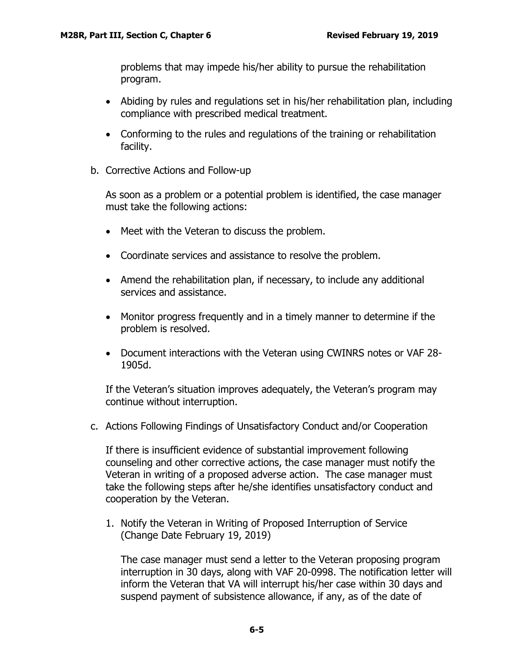problems that may impede his/her ability to pursue the rehabilitation program.

- Abiding by rules and regulations set in his/her rehabilitation plan, including compliance with prescribed medical treatment.
- Conforming to the rules and regulations of the training or rehabilitation facility.
- <span id="page-4-0"></span>b. Corrective Actions and Follow-up

As soon as a problem or a potential problem is identified, the case manager must take the following actions:

- Meet with the Veteran to discuss the problem.
- Coordinate services and assistance to resolve the problem.
- Amend the rehabilitation plan, if necessary, to include any additional services and assistance.
- Monitor progress frequently and in a timely manner to determine if the problem is resolved.
- Document interactions with the Veteran using CWINRS notes or VAF 28- 1905d.

If the Veteran's situation improves adequately, the Veteran's program may continue without interruption.

<span id="page-4-1"></span>c. Actions Following Findings of Unsatisfactory Conduct and/or Cooperation

If there is insufficient evidence of substantial improvement following counseling and other corrective actions, the case manager must notify the Veteran in writing of a proposed adverse action. The case manager must take the following steps after he/she identifies unsatisfactory conduct and cooperation by the Veteran.

1. Notify the Veteran in Writing of Proposed Interruption of Service (Change Date February 19, 2019)

The case manager must send a letter to the Veteran proposing program interruption in 30 days, along with VAF 20-0998. The notification letter will inform the Veteran that VA will interrupt his/her case within 30 days and suspend payment of subsistence allowance, if any, as of the date of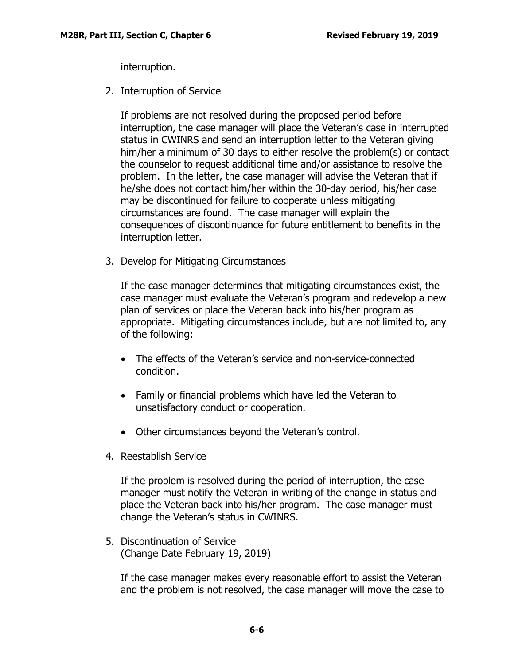interruption.

2. Interruption of Service

If problems are not resolved during the proposed period before interruption, the case manager will place the Veteran's case in interrupted status in CWINRS and send an interruption letter to the Veteran giving him/her a minimum of 30 days to either resolve the problem(s) or contact the counselor to request additional time and/or assistance to resolve the problem. In the letter, the case manager will advise the Veteran that if he/she does not contact him/her within the 30-day period, his/her case may be discontinued for failure to cooperate unless mitigating circumstances are found. The case manager will explain the consequences of discontinuance for future entitlement to benefits in the interruption letter.

3. Develop for Mitigating Circumstances

If the case manager determines that mitigating circumstances exist, the case manager must evaluate the Veteran's program and redevelop a new plan of services or place the Veteran back into his/her program as appropriate. Mitigating circumstances include, but are not limited to, any of the following:

- The effects of the Veteran's service and non-service-connected condition.
- Family or financial problems which have led the Veteran to unsatisfactory conduct or cooperation.
- Other circumstances beyond the Veteran's control.
- 4. Reestablish Service

If the problem is resolved during the period of interruption, the case manager must notify the Veteran in writing of the change in status and place the Veteran back into his/her program. The case manager must change the Veteran's status in CWINRS.

5. Discontinuation of Service (Change Date February 19, 2019)

If the case manager makes every reasonable effort to assist the Veteran and the problem is not resolved, the case manager will move the case to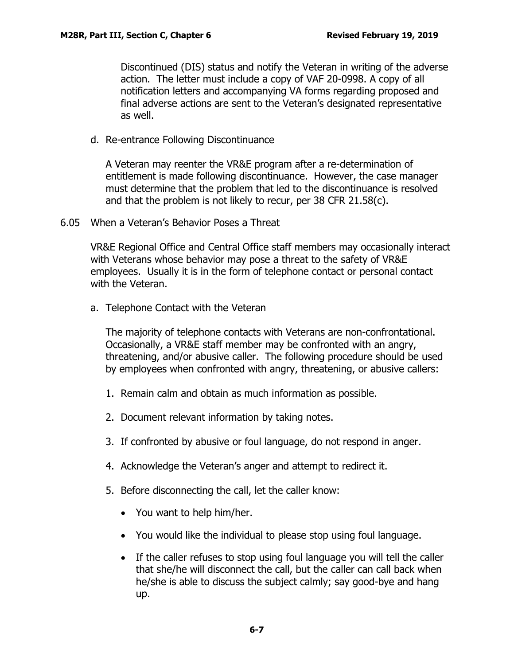Discontinued (DIS) status and notify the Veteran in writing of the adverse action. The letter must include a copy of VAF 20-0998. A copy of all notification letters and accompanying VA forms regarding proposed and final adverse actions are sent to the Veteran's designated representative as well.

<span id="page-6-0"></span>d. Re-entrance Following Discontinuance

A Veteran may reenter the VR&E program after a re-determination of entitlement is made following discontinuance. However, the case manager must determine that the problem that led to the discontinuance is resolved and that the problem is not likely to recur, per 38 CFR 21.58(c).

<span id="page-6-1"></span>6.05 When a Veteran's Behavior Poses a Threat

VR&E Regional Office and Central Office staff members may occasionally interact with Veterans whose behavior may pose a threat to the safety of VR&E employees. Usually it is in the form of telephone contact or personal contact with the Veteran.

<span id="page-6-2"></span>a. Telephone Contact with the Veteran

The majority of telephone contacts with Veterans are non-confrontational. Occasionally, a VR&E staff member may be confronted with an angry, threatening, and/or abusive caller. The following procedure should be used by employees when confronted with angry, threatening, or abusive callers:

- 1. Remain calm and obtain as much information as possible.
- 2. Document relevant information by taking notes.
- 3. If confronted by abusive or foul language, do not respond in anger.
- 4. Acknowledge the Veteran's anger and attempt to redirect it.
- 5. Before disconnecting the call, let the caller know:
	- You want to help him/her.
	- You would like the individual to please stop using foul language.
	- If the caller refuses to stop using foul language you will tell the caller that she/he will disconnect the call, but the caller can call back when he/she is able to discuss the subject calmly; say good-bye and hang up.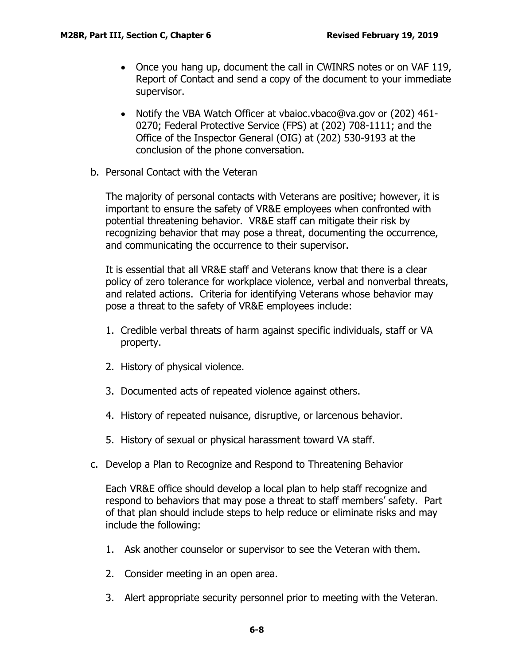- Once you hang up, document the call in CWINRS notes or on VAF 119, Report of Contact and send a copy of the document to your immediate supervisor.
- Notify the VBA Watch Officer at vbaioc.vbaco@va.gov or (202) 461- 0270; Federal Protective Service (FPS) at (202) 708-1111; and the Office of the Inspector General (OIG) at (202) 530-9193 at the conclusion of the phone conversation.
- <span id="page-7-0"></span>b. Personal Contact with the Veteran

The majority of personal contacts with Veterans are positive; however, it is important to ensure the safety of VR&E employees when confronted with potential threatening behavior. VR&E staff can mitigate their risk by recognizing behavior that may pose a threat, documenting the occurrence, and communicating the occurrence to their supervisor.

It is essential that all VR&E staff and Veterans know that there is a clear policy of zero tolerance for workplace violence, verbal and nonverbal threats, and related actions. Criteria for identifying Veterans whose behavior may pose a threat to the safety of VR&E employees include:

- 1. Credible verbal threats of harm against specific individuals, staff or VA property.
- 2. History of physical violence.
- 3. Documented acts of repeated violence against others.
- 4. History of repeated nuisance, disruptive, or larcenous behavior.
- 5. History of sexual or physical harassment toward VA staff.
- <span id="page-7-1"></span>c. Develop a Plan to Recognize and Respond to Threatening Behavior

Each VR&E office should develop a local plan to help staff recognize and respond to behaviors that may pose a threat to staff members' safety. Part of that plan should include steps to help reduce or eliminate risks and may include the following:

- 1. Ask another counselor or supervisor to see the Veteran with them.
- 2. Consider meeting in an open area.
- 3. Alert appropriate security personnel prior to meeting with the Veteran.